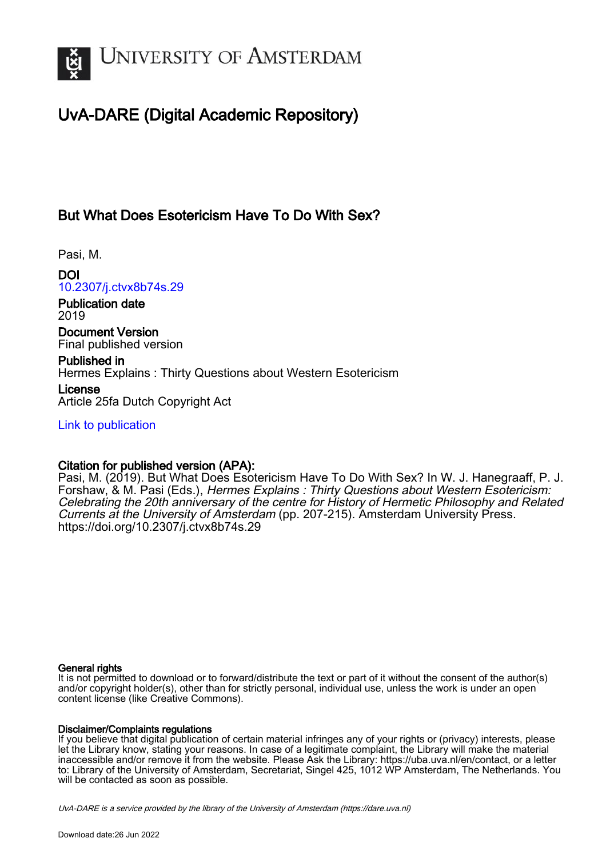

# UvA-DARE (Digital Academic Repository)

### But What Does Esotericism Have To Do With Sex?

Pasi, M.

DOI [10.2307/j.ctvx8b74s.29](https://doi.org/10.2307/j.ctvx8b74s.29)

Publication date 2019

Document Version Final published version

Published in Hermes Explains : Thirty Questions about Western Esotericism

License Article 25fa Dutch Copyright Act

[Link to publication](https://dare.uva.nl/personal/pure/en/publications/but-what-does-esotericism-have-to-do-with-sex(17cc2bed-9cf5-4eb9-a8f8-d5bb0dd80f1e).html)

### Citation for published version (APA):

Pasi, M. (2019). But What Does Esotericism Have To Do With Sex? In W. J. Hanegraaff, P. J. Forshaw, & M. Pasi (Eds.), Hermes Explains : Thirty Questions about Western Esotericism: Celebrating the 20th anniversary of the centre for History of Hermetic Philosophy and Related Currents at the University of Amsterdam (pp. 207-215). Amsterdam University Press. <https://doi.org/10.2307/j.ctvx8b74s.29>

#### General rights

It is not permitted to download or to forward/distribute the text or part of it without the consent of the author(s) and/or copyright holder(s), other than for strictly personal, individual use, unless the work is under an open content license (like Creative Commons).

#### Disclaimer/Complaints regulations

If you believe that digital publication of certain material infringes any of your rights or (privacy) interests, please let the Library know, stating your reasons. In case of a legitimate complaint, the Library will make the material inaccessible and/or remove it from the website. Please Ask the Library: https://uba.uva.nl/en/contact, or a letter to: Library of the University of Amsterdam, Secretariat, Singel 425, 1012 WP Amsterdam, The Netherlands. You will be contacted as soon as possible.

UvA-DARE is a service provided by the library of the University of Amsterdam (http*s*://dare.uva.nl)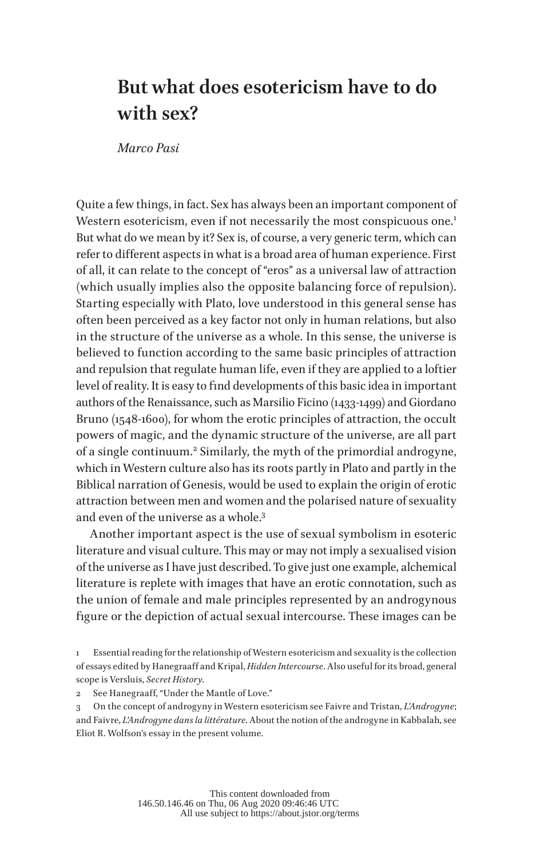# **But what does esotericism have to do with sex?**

*Marco Pasi*

Quite a few things, in fact. Sex has always been an important component of Western esotericism, even if not necessarily the most conspicuous one.<sup>1</sup> But what do we mean by it? Sex is, of course, a very generic term, which can refer to different aspects in what is a broad area of human experience. First of all, it can relate to the concept of "eros" as a universal law of attraction (which usually implies also the opposite balancing force of repulsion). Starting especially with Plato, love understood in this general sense has often been perceived as a key factor not only in human relations, but also in the structure of the universe as a whole. In this sense, the universe is believed to function according to the same basic principles of attraction and repulsion that regulate human life, even if they are applied to a loftier level of reality. It is easy to find developments of this basic idea in important authors of the Renaissance, such as Marsilio Ficino (1433-1499) and Giordano Bruno (1548-1600), for whom the erotic principles of attraction, the occult powers of magic, and the dynamic structure of the universe, are all part of a single continuum.<sup>2</sup> Similarly, the myth of the primordial androgyne, which in Western culture also has its roots partly in Plato and partly in the Biblical narration of Genesis, would be used to explain the origin of erotic attraction between men and women and the polarised nature of sexuality and even of the universe as a whole.3

Another important aspect is the use of sexual symbolism in esoteric literature and visual culture. This may or may not imply a sexualised vision of the universe as I have just described. To give just one example, alchemical literature is replete with images that have an erotic connotation, such as the union of female and male principles represented by an androgynous figure or the depiction of actual sexual intercourse. These images can be

<sup>1</sup> Essential reading for the relationship of Western esotericism and sexuality is the collection of essays edited by Hanegraaff and Kripal, *Hidden Intercourse*. Also useful for its broad, general scope is Versluis, *Secret History*.

<sup>2</sup> See Hanegraaff, "Under the Mantle of Love."

<sup>3</sup> On the concept of androgyny in Western esotericism see Faivre and Tristan, *L'Androgyne*; and Faivre, *L'Androgyne dans la littérature*. About the notion of the androgyne in Kabbalah, see Eliot R. Wolfson's essay in the present volume.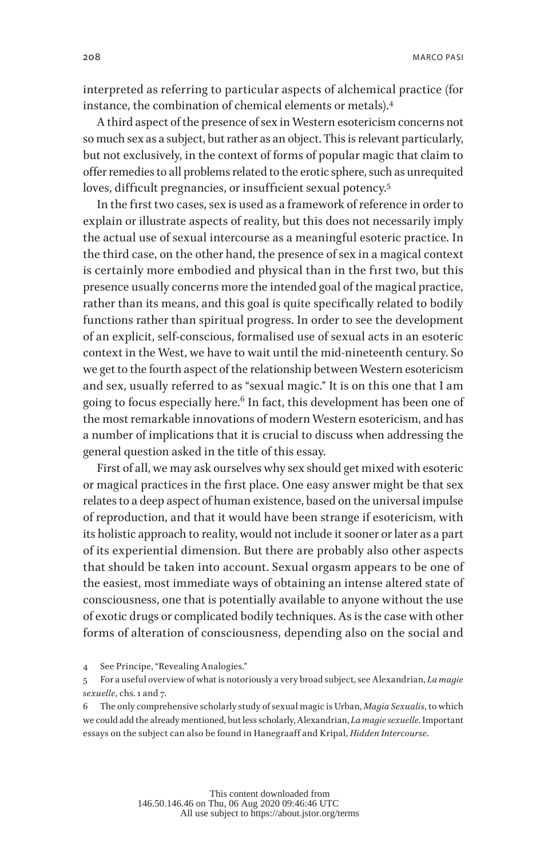interpreted as referring to particular aspects of alchemical practice (for instance, the combination of chemical elements or metals).<sup>4</sup>

A third aspect of the presence of sex in Western esotericism concerns not so much sex as a subject, but rather as an object. This is relevant particularly, but not exclusively, in the context of forms of popular magic that claim to offer remedies to all problems related to the erotic sphere, such as unrequited loves, difficult pregnancies, or insufficient sexual potency.<sup>5</sup>

In the first two cases, sex is used as a framework of reference in order to explain or illustrate aspects of reality, but this does not necessarily imply the actual use of sexual intercourse as a meaningful esoteric practice. In the third case, on the other hand, the presence of sex in a magical context is certainly more embodied and physical than in the first two, but this presence usually concerns more the intended goal of the magical practice, rather than its means, and this goal is quite specifically related to bodily functions rather than spiritual progress. In order to see the development of an explicit, self-conscious, formalised use of sexual acts in an esoteric context in the West, we have to wait until the mid-nineteenth century. So we get to the fourth aspect of the relationship between Western esotericism and sex, usually referred to as "sexual magic." It is on this one that I am going to focus especially here.<sup>6</sup> In fact, this development has been one of the most remarkable innovations of modern Western esotericism, and has a number of implications that it is crucial to discuss when addressing the general question asked in the title of this essay.

First of all, we may ask ourselves why sex should get mixed with esoteric or magical practices in the first place. One easy answer might be that sex relates to a deep aspect of human existence, based on the universal impulse of reproduction, and that it would have been strange if esotericism, with its holistic approach to reality, would not include it sooner or later as a part of its experiential dimension. But there are probably also other aspects that should be taken into account. Sexual orgasm appears to be one of the easiest, most immediate ways of obtaining an intense altered state of consciousness, one that is potentially available to anyone without the use of exotic drugs or complicated bodily techniques. As is the case with other forms of alteration of consciousness, depending also on the social and

4 See Principe, "Revealing Analogies."

6 The only comprehensive scholarly study of sexual magic is Urban, *Magia Sexualis*, to which we could add the already mentioned, but less scholarly, Alexandrian, *La magie sexuelle*. Important essays on the subject can also be found in Hanegraaff and Kripal, *Hidden Intercourse*.

<sup>5</sup> For a useful overview of what is notoriously a very broad subject, see Alexandrian, *La magie sexuelle*, chs. 1 and 7.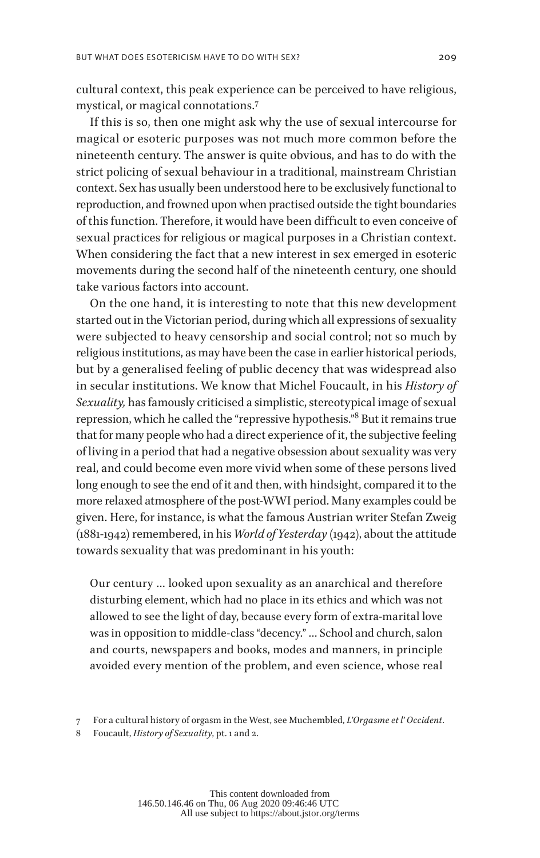cultural context, this peak experience can be perceived to have religious, mystical, or magical connotations.<sup>7</sup>

If this is so, then one might ask why the use of sexual intercourse for magical or esoteric purposes was not much more common before the nineteenth century. The answer is quite obvious, and has to do with the strict policing of sexual behaviour in a traditional, mainstream Christian context. Sex has usually been understood here to be exclusively functional to reproduction, and frowned upon when practised outside the tight boundaries of this function. Therefore, it would have been difficult to even conceive of sexual practices for religious or magical purposes in a Christian context. When considering the fact that a new interest in sex emerged in esoteric movements during the second half of the nineteenth century, one should take various factors into account.

On the one hand, it is interesting to note that this new development started out in the Victorian period, during which all expressions of sexuality were subjected to heavy censorship and social control; not so much by religious institutions, as may have been the case in earlier historical periods, but by a generalised feeling of public decency that was widespread also in secular institutions. We know that Michel Foucault, in his *History of Sexuality,* has famously criticised a simplistic, stereotypical image of sexual repression, which he called the "repressive hypothesis."8 But it remains true that for many people who had a direct experience of it, the subjective feeling of living in a period that had a negative obsession about sexuality was very real, and could become even more vivid when some of these persons lived long enough to see the end of it and then, with hindsight, compared it to the more relaxed atmosphere of the post-WWI period. Many examples could be given. Here, for instance, is what the famous Austrian writer Stefan Zweig (1881-1942) remembered, in his *World of Yesterday* (1942), about the attitude towards sexuality that was predominant in his youth:

Our century … looked upon sexuality as an anarchical and therefore disturbing element, which had no place in its ethics and which was not allowed to see the light of day, because every form of extra-marital love was in opposition to middle-class "decency." … School and church, salon and courts, newspapers and books, modes and manners, in principle avoided every mention of the problem, and even science, whose real

8 Foucault, *History of Sexuality*, pt. 1 and 2.

<sup>7</sup> For a cultural history of orgasm in the West, see Muchembled, *L'Orgasme et l' Occident*.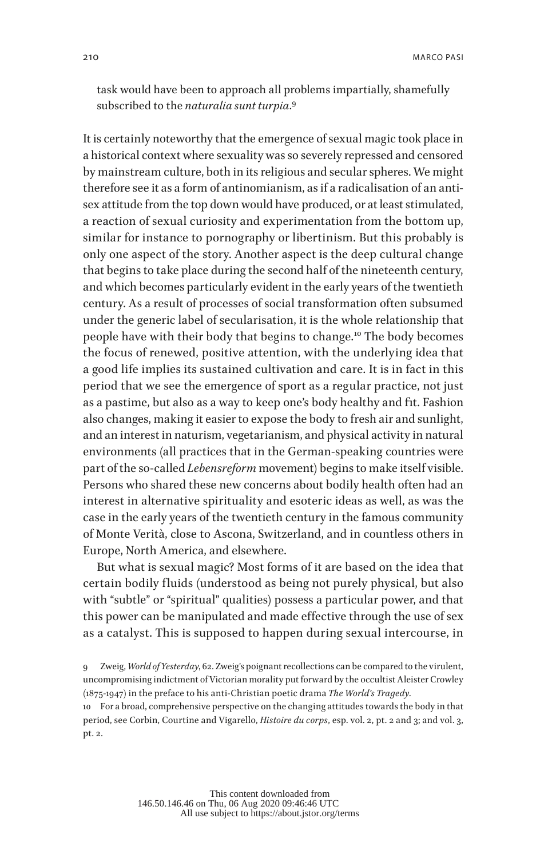task would have been to approach all problems impartially, shamefully subscribed to the *naturalia sunt turpia*. 9

It is certainly noteworthy that the emergence of sexual magic took place in a historical context where sexuality was so severely repressed and censored by mainstream culture, both in its religious and secular spheres. We might therefore see it as a form of antinomianism, as if a radicalisation of an antisex attitude from the top down would have produced, or at least stimulated, a reaction of sexual curiosity and experimentation from the bottom up, similar for instance to pornography or libertinism. But this probably is only one aspect of the story. Another aspect is the deep cultural change that begins to take place during the second half of the nineteenth century, and which becomes particularly evident in the early years of the twentieth century. As a result of processes of social transformation often subsumed under the generic label of secularisation, it is the whole relationship that people have with their body that begins to change.10 The body becomes the focus of renewed, positive attention, with the underlying idea that a good life implies its sustained cultivation and care. It is in fact in this period that we see the emergence of sport as a regular practice, not just as a pastime, but also as a way to keep one's body healthy and fit. Fashion also changes, making it easier to expose the body to fresh air and sunlight, and an interest in naturism, vegetarianism, and physical activity in natural environments (all practices that in the German-speaking countries were part of the so-called *Lebensreform* movement) begins to make itself visible. Persons who shared these new concerns about bodily health often had an interest in alternative spirituality and esoteric ideas as well, as was the case in the early years of the twentieth century in the famous community of Monte Verità, close to Ascona, Switzerland, and in countless others in Europe, North America, and elsewhere.

But what is sexual magic? Most forms of it are based on the idea that certain bodily fluids (understood as being not purely physical, but also with "subtle" or "spiritual" qualities) possess a particular power, and that this power can be manipulated and made effective through the use of sex as a catalyst. This is supposed to happen during sexual intercourse, in

10 For a broad, comprehensive perspective on the changing attitudes towards the body in that period, see Corbin, Courtine and Vigarello, *Histoire du corps*, esp. vol. 2, pt. 2 and 3; and vol. 3, pt. 2.

<sup>9</sup> Zweig, *World of Yesterday*, 62. Zweig's poignant recollections can be compared to the virulent, uncompromising indictment of Victorian morality put forward by the occultist Aleister Crowley (1875-1947) in the preface to his anti-Christian poetic drama *The World's Tragedy*.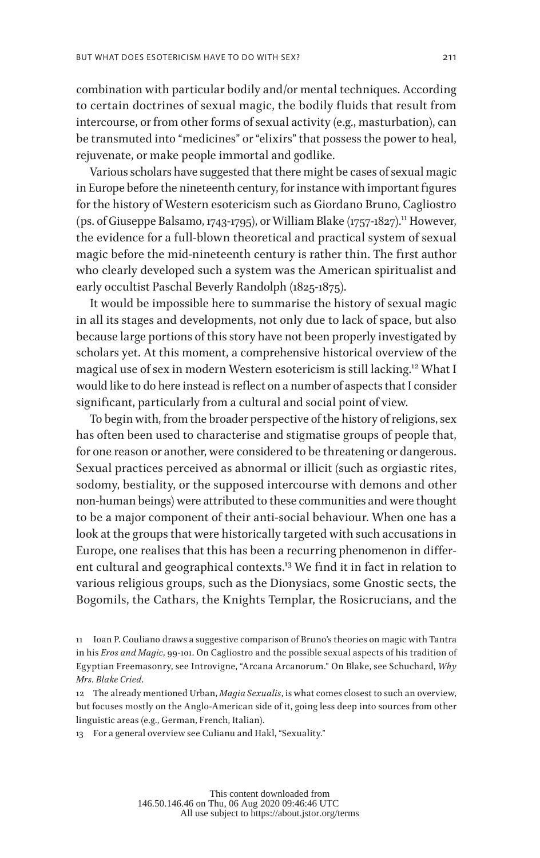combination with particular bodily and/or mental techniques. According to certain doctrines of sexual magic, the bodily fluids that result from intercourse, or from other forms of sexual activity (e.g., masturbation), can be transmuted into "medicines" or "elixirs" that possess the power to heal, rejuvenate, or make people immortal and godlike.

Various scholars have suggested that there might be cases of sexual magic in Europe before the nineteenth century, for instance with important figures for the history of Western esotericism such as Giordano Bruno, Cagliostro (ps. of Giuseppe Balsamo, 1743-1795), or William Blake (1757-1827).<sup>11</sup> However, the evidence for a full-blown theoretical and practical system of sexual magic before the mid-nineteenth century is rather thin. The first author who clearly developed such a system was the American spiritualist and early occultist Paschal Beverly Randolph (1825-1875).

It would be impossible here to summarise the history of sexual magic in all its stages and developments, not only due to lack of space, but also because large portions of this story have not been properly investigated by scholars yet. At this moment, a comprehensive historical overview of the magical use of sex in modern Western esotericism is still lacking.12 What I would like to do here instead is reflect on a number of aspects that I consider significant, particularly from a cultural and social point of view.

To begin with, from the broader perspective of the history of religions, sex has often been used to characterise and stigmatise groups of people that, for one reason or another, were considered to be threatening or dangerous. Sexual practices perceived as abnormal or illicit (such as orgiastic rites, sodomy, bestiality, or the supposed intercourse with demons and other non-human beings) were attributed to these communities and were thought to be a major component of their anti-social behaviour. When one has a look at the groups that were historically targeted with such accusations in Europe, one realises that this has been a recurring phenomenon in different cultural and geographical contexts.13 We find it in fact in relation to various religious groups, such as the Dionysiacs, some Gnostic sects, the Bogomils, the Cathars, the Knights Templar, the Rosicrucians, and the

13 For a general overview see Culianu and Hakl, "Sexuality."

<sup>11</sup> Ioan P. Couliano draws a suggestive comparison of Bruno's theories on magic with Tantra in his *Eros and Magic*, 99-101. On Cagliostro and the possible sexual aspects of his tradition of Egyptian Freemasonry, see Introvigne, "Arcana Arcanorum." On Blake, see Schuchard, *Why Mrs. Blake Cried*.

<sup>12</sup> The already mentioned Urban, *Magia Sexualis*, is what comes closest to such an overview, but focuses mostly on the Anglo-American side of it, going less deep into sources from other linguistic areas (e.g., German, French, Italian).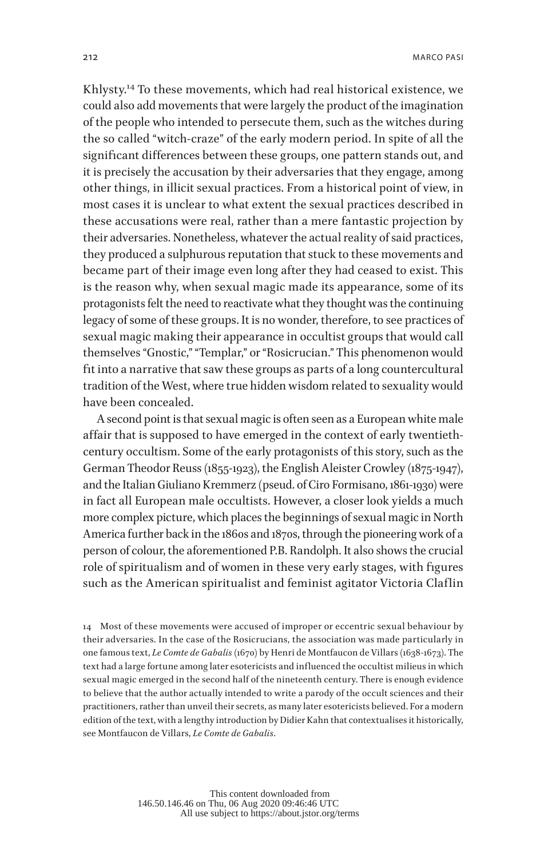Khlysty.14 To these movements, which had real historical existence, we could also add movements that were largely the product of the imagination of the people who intended to persecute them, such as the witches during the so called "witch-craze" of the early modern period. In spite of all the significant differences between these groups, one pattern stands out, and it is precisely the accusation by their adversaries that they engage, among other things, in illicit sexual practices. From a historical point of view, in most cases it is unclear to what extent the sexual practices described in these accusations were real, rather than a mere fantastic projection by their adversaries. Nonetheless, whatever the actual reality of said practices, they produced a sulphurous reputation that stuck to these movements and became part of their image even long after they had ceased to exist. This is the reason why, when sexual magic made its appearance, some of its protagonists felt the need to reactivate what they thought was the continuing legacy of some of these groups. It is no wonder, therefore, to see practices of sexual magic making their appearance in occultist groups that would call themselves "Gnostic," "Templar," or "Rosicrucian." This phenomenon would fit into a narrative that saw these groups as parts of a long countercultural tradition of the West, where true hidden wisdom related to sexuality would have been concealed.

A second point is that sexual magic is often seen as a European white male affair that is supposed to have emerged in the context of early twentiethcentury occultism. Some of the early protagonists of this story, such as the German Theodor Reuss (1855-1923), the English Aleister Crowley (1875-1947), and the Italian Giuliano Kremmerz (pseud. of Ciro Formisano, 1861-1930) were in fact all European male occultists. However, a closer look yields a much more complex picture, which places the beginnings of sexual magic in North America further back in the 1860s and 1870s, through the pioneering work of a person of colour, the aforementioned P.B. Randolph. It also shows the crucial role of spiritualism and of women in these very early stages, with figures such as the American spiritualist and feminist agitator Victoria Claflin

14 Most of these movements were accused of improper or eccentric sexual behaviour by their adversaries. In the case of the Rosicrucians, the association was made particularly in one famous text, *Le Comte de Gabalis* (1670) by Henri de Montfaucon de Villars (1638-1673). The text had a large fortune among later esotericists and influenced the occultist milieus in which sexual magic emerged in the second half of the nineteenth century. There is enough evidence to believe that the author actually intended to write a parody of the occult sciences and their practitioners, rather than unveil their secrets, as many later esotericists believed. For a modern edition of the text, with a lengthy introduction by Didier Kahn that contextualises it historically, see Montfaucon de Villars, *Le Comte de Gabalis*.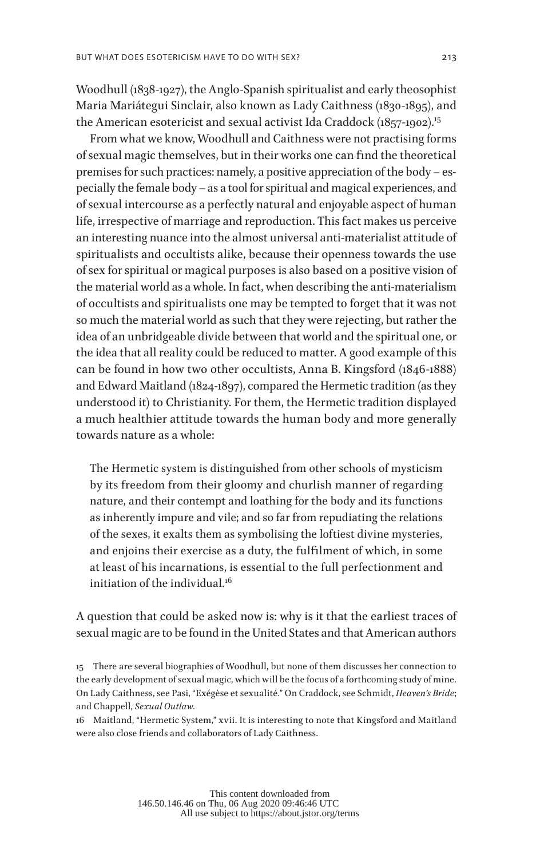Woodhull (1838-1927), the Anglo-Spanish spiritualist and early theosophist Maria Mariátegui Sinclair, also known as Lady Caithness (1830-1895), and the American esotericist and sexual activist Ida Craddock (1857-1902).<sup>15</sup>

From what we know, Woodhull and Caithness were not practising forms of sexual magic themselves, but in their works one can find the theoretical premises for such practices: namely, a positive appreciation of the body – especially the female body – as a tool for spiritual and magical experiences, and of sexual intercourse as a perfectly natural and enjoyable aspect of human life, irrespective of marriage and reproduction. This fact makes us perceive an interesting nuance into the almost universal anti-materialist attitude of spiritualists and occultists alike, because their openness towards the use of sex for spiritual or magical purposes is also based on a positive vision of the material world as a whole. In fact, when describing the anti-materialism of occultists and spiritualists one may be tempted to forget that it was not so much the material world as such that they were rejecting, but rather the idea of an unbridgeable divide between that world and the spiritual one, or the idea that all reality could be reduced to matter. A good example of this can be found in how two other occultists, Anna B. Kingsford (1846-1888) and Edward Maitland (1824-1897), compared the Hermetic tradition (as they understood it) to Christianity. For them, the Hermetic tradition displayed a much healthier attitude towards the human body and more generally towards nature as a whole:

The Hermetic system is distinguished from other schools of mysticism by its freedom from their gloomy and churlish manner of regarding nature, and their contempt and loathing for the body and its functions as inherently impure and vile; and so far from repudiating the relations of the sexes, it exalts them as symbolising the loftiest divine mysteries, and enjoins their exercise as a duty, the fulfilment of which, in some at least of his incarnations, is essential to the full perfectionment and initiation of the individual.<sup>16</sup>

A question that could be asked now is: why is it that the earliest traces of sexual magic are to be found in the United States and that American authors

16 Maitland, "Hermetic System," xvii. It is interesting to note that Kingsford and Maitland were also close friends and collaborators of Lady Caithness.

<sup>15</sup> There are several biographies of Woodhull, but none of them discusses her connection to the early development of sexual magic, which will be the focus of a forthcoming study of mine. On Lady Caithness, see Pasi, "Exégèse et sexualité." On Craddock, see Schmidt, *Heaven's Bride*; and Chappell, *Sexual Outlaw*.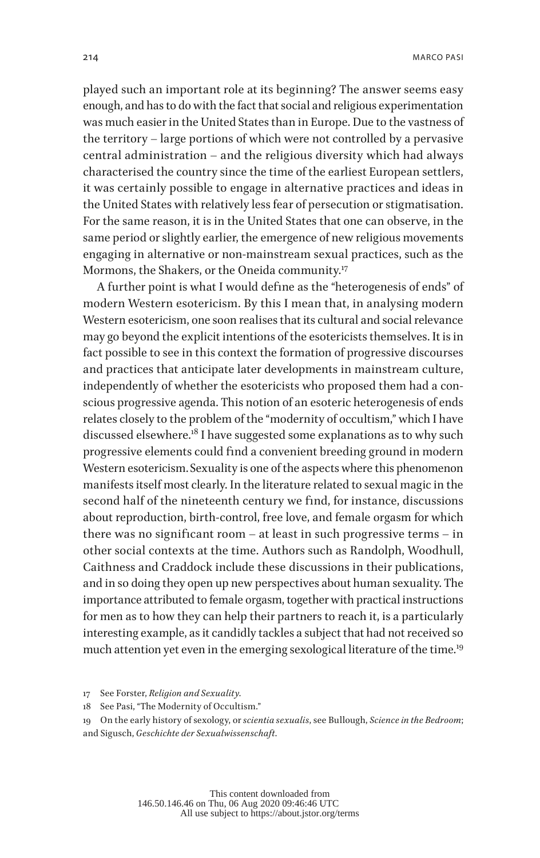played such an important role at its beginning? The answer seems easy enough, and has to do with the fact that social and religious experimentation was much easier in the United States than in Europe. Due to the vastness of the territory – large portions of which were not controlled by a pervasive central administration – and the religious diversity which had always characterised the country since the time of the earliest European settlers, it was certainly possible to engage in alternative practices and ideas in the United States with relatively less fear of persecution or stigmatisation. For the same reason, it is in the United States that one can observe, in the same period or slightly earlier, the emergence of new religious movements engaging in alternative or non-mainstream sexual practices, such as the Mormons, the Shakers, or the Oneida community.<sup>17</sup>

A further point is what I would define as the "heterogenesis of ends" of modern Western esotericism. By this I mean that, in analysing modern Western esotericism, one soon realises that its cultural and social relevance may go beyond the explicit intentions of the esotericists themselves. It is in fact possible to see in this context the formation of progressive discourses and practices that anticipate later developments in mainstream culture, independently of whether the esotericists who proposed them had a conscious progressive agenda. This notion of an esoteric heterogenesis of ends relates closely to the problem of the "modernity of occultism," which I have discussed elsewhere.<sup>18</sup> I have suggested some explanations as to why such progressive elements could find a convenient breeding ground in modern Western esotericism. Sexuality is one of the aspects where this phenomenon manifests itself most clearly. In the literature related to sexual magic in the second half of the nineteenth century we find, for instance, discussions about reproduction, birth-control, free love, and female orgasm for which there was no significant room – at least in such progressive terms – in other social contexts at the time. Authors such as Randolph, Woodhull, Caithness and Craddock include these discussions in their publications, and in so doing they open up new perspectives about human sexuality. The importance attributed to female orgasm, together with practical instructions for men as to how they can help their partners to reach it, is a particularly interesting example, as it candidly tackles a subject that had not received so much attention yet even in the emerging sexological literature of the time.<sup>19</sup>

<sup>17</sup> See Forster, *Religion and Sexuality*.

<sup>18</sup> See Pasi, "The Modernity of Occultism."

<sup>19</sup> On the early history of sexology, or *scientia sexualis*, see Bullough, *Science in the Bedroom*; and Sigusch, *Geschichte der Sexualwissenschaft*.